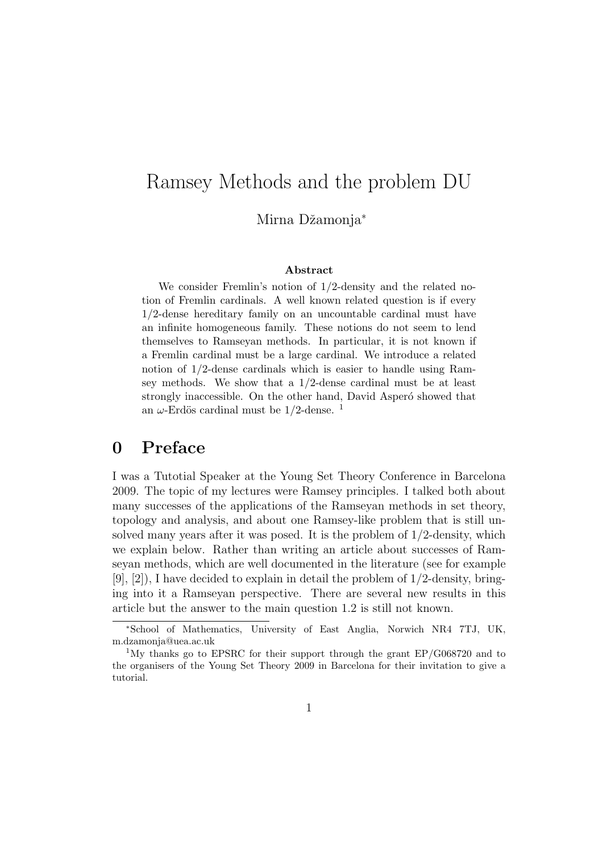# Ramsey Methods and the problem DU

Mirna Džamonja<sup>\*</sup>

#### Abstract

We consider Fremlin's notion of 1/2-density and the related notion of Fremlin cardinals. A well known related question is if every 1/2-dense hereditary family on an uncountable cardinal must have an infinite homogeneous family. These notions do not seem to lend themselves to Ramseyan methods. In particular, it is not known if a Fremlin cardinal must be a large cardinal. We introduce a related notion of 1/2-dense cardinals which is easier to handle using Ramsey methods. We show that a 1/2-dense cardinal must be at least strongly inaccessible. On the other hand, David Asperó showed that an  $\omega$ -Erdös cardinal must be 1/2-dense.<sup>1</sup>

### 0 Preface

I was a Tutotial Speaker at the Young Set Theory Conference in Barcelona 2009. The topic of my lectures were Ramsey principles. I talked both about many successes of the applications of the Ramseyan methods in set theory, topology and analysis, and about one Ramsey-like problem that is still unsolved many years after it was posed. It is the problem of  $1/2$ -density, which we explain below. Rather than writing an article about successes of Ramseyan methods, which are well documented in the literature (see for example [9], [2]), I have decided to explain in detail the problem of 1/2-density, bringing into it a Ramseyan perspective. There are several new results in this article but the answer to the main question 1.2 is still not known.

<sup>∗</sup>School of Mathematics, University of East Anglia, Norwich NR4 7TJ, UK, m.dzamonja@uea.ac.uk

<sup>&</sup>lt;sup>1</sup>My thanks go to EPSRC for their support through the grant EP/G068720 and to the organisers of the Young Set Theory 2009 in Barcelona for their invitation to give a tutorial.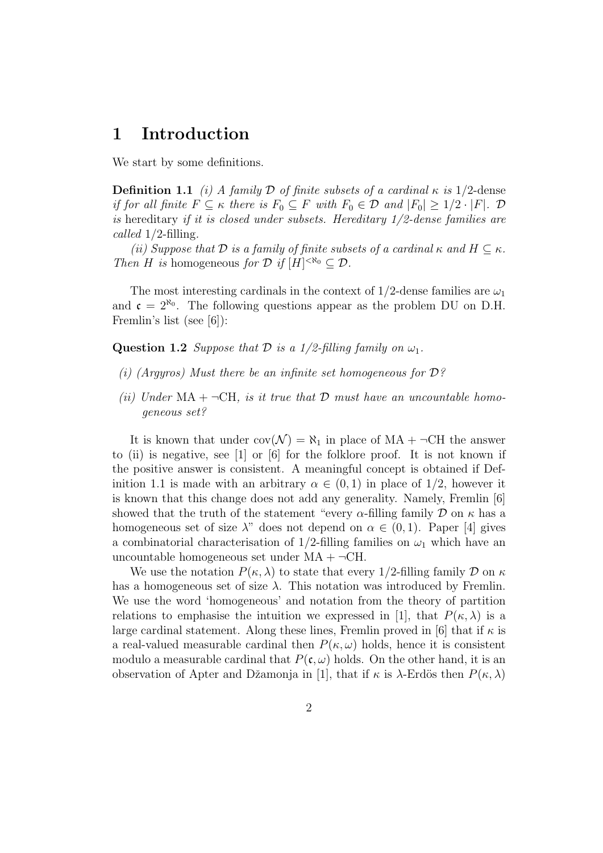## 1 Introduction

We start by some definitions.

**Definition 1.1** (i) A family D of finite subsets of a cardinal  $\kappa$  is 1/2-dense if for all finite  $F \subseteq \kappa$  there is  $F_0 \subseteq F$  with  $F_0 \in \mathcal{D}$  and  $|F_0| \geq 1/2 \cdot |F|$ .  $\mathcal{D}$ is hereditary if it is closed under subsets. Hereditary 1/2-dense families are called  $1/2$ -filling.

(ii) Suppose that  $\mathcal D$  is a family of finite subsets of a cardinal  $\kappa$  and  $H \subseteq \kappa$ . Then H is homogeneous for  $\mathcal{D}$  if  $[H]^{<\aleph_0} \subseteq \mathcal{D}$ .

The most interesting cardinals in the context of 1/2-dense families are  $\omega_1$ and  $\mathfrak{c} = 2^{\aleph_0}$ . The following questions appear as the problem DU on D.H. Fremlin's list (see [6]):

Question 1.2 Suppose that D is a 1/2-filling family on  $\omega_1$ .

- (i) (Argyros) Must there be an infinite set homogeneous for  $\mathcal{D}$ ?
- (ii) Under  $MA + \neg CH$ , is it true that  $D$  must have an uncountable homogeneous set?

It is known that under  $cov(\mathcal{N}) = \aleph_1$  in place of  $MA + \neg CH$  the answer to (ii) is negative, see [1] or [6] for the folklore proof. It is not known if the positive answer is consistent. A meaningful concept is obtained if Definition 1.1 is made with an arbitrary  $\alpha \in (0,1)$  in place of 1/2, however it is known that this change does not add any generality. Namely, Fremlin [6] showed that the truth of the statement "every  $\alpha$ -filling family D on  $\kappa$  has a homogeneous set of size  $\lambda$ " does not depend on  $\alpha \in (0,1)$ . Paper [4] gives a combinatorial characterisation of 1/2-filling families on  $\omega_1$  which have an uncountable homogeneous set under  $MA + \neg CH$ .

We use the notation  $P(\kappa, \lambda)$  to state that every 1/2-filling family  $\mathcal D$  on  $\kappa$ has a homogeneous set of size  $\lambda$ . This notation was introduced by Fremlin. We use the word 'homogeneous' and notation from the theory of partition relations to emphasise the intuition we expressed in [1], that  $P(\kappa, \lambda)$  is a large cardinal statement. Along these lines, Fremlin proved in [6] that if  $\kappa$  is a real-valued measurable cardinal then  $P(\kappa, \omega)$  holds, hence it is consistent modulo a measurable cardinal that  $P(\mathfrak{c}, \omega)$  holds. On the other hand, it is an observation of Apter and Džamonja in [1], that if  $\kappa$  is  $\lambda$ -Erdös then  $P(\kappa, \lambda)$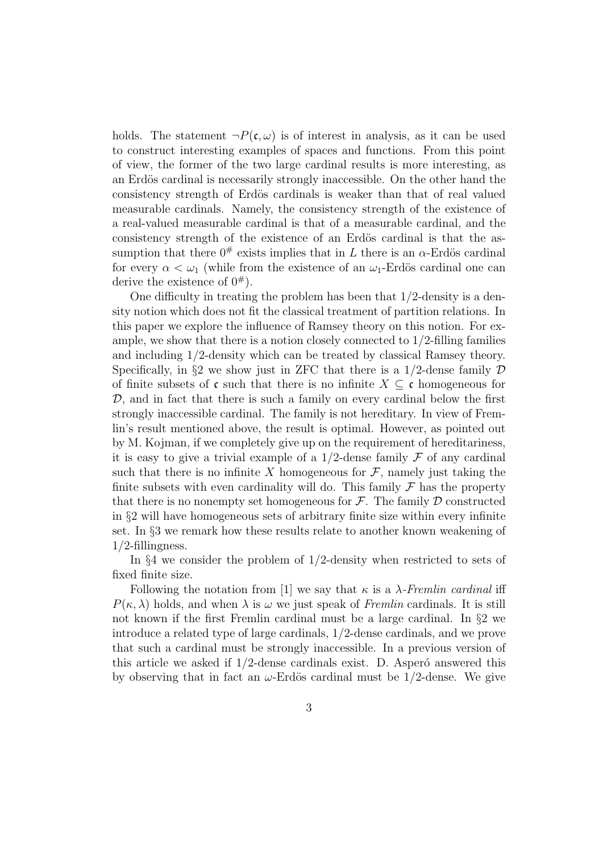holds. The statement  $\neg P(\mathfrak{c}, \omega)$  is of interest in analysis, as it can be used to construct interesting examples of spaces and functions. From this point of view, the former of the two large cardinal results is more interesting, as an Erdös cardinal is necessarily strongly inaccessible. On the other hand the consistency strength of Erdös cardinals is weaker than that of real valued measurable cardinals. Namely, the consistency strength of the existence of a real-valued measurable cardinal is that of a measurable cardinal, and the consistency strength of the existence of an Erdös cardinal is that the assumption that there  $0^{\#}$  exists implies that in L there is an  $\alpha$ -Erdös cardinal for every  $\alpha < \omega_1$  (while from the existence of an  $\omega_1$ -Erdös cardinal one can derive the existence of  $0^{\#}$ ).

One difficulty in treating the problem has been that  $1/2$ -density is a density notion which does not fit the classical treatment of partition relations. In this paper we explore the influence of Ramsey theory on this notion. For example, we show that there is a notion closely connected to  $1/2$ -filling families and including 1/2-density which can be treated by classical Ramsey theory. Specifically, in §2 we show just in ZFC that there is a  $1/2$ -dense family  $\mathcal D$ of finite subsets of c such that there is no infinite  $X \subseteq \mathfrak{c}$  homogeneous for  $\mathcal{D}$ , and in fact that there is such a family on every cardinal below the first strongly inaccessible cardinal. The family is not hereditary. In view of Fremlin's result mentioned above, the result is optimal. However, as pointed out by M. Kojman, if we completely give up on the requirement of hereditariness, it is easy to give a trivial example of a  $1/2$ -dense family  $\mathcal F$  of any cardinal such that there is no infinite X homogeneous for  $\mathcal{F}$ , namely just taking the finite subsets with even cardinality will do. This family  $\mathcal F$  has the property that there is no nonempty set homogeneous for  $\mathcal{F}$ . The family  $\mathcal{D}$  constructed in §2 will have homogeneous sets of arbitrary finite size within every infinite set. In §3 we remark how these results relate to another known weakening of  $1/2$ -fillingness.

In §4 we consider the problem of 1/2-density when restricted to sets of fixed finite size.

Following the notation from [1] we say that  $\kappa$  is a  $\lambda$ -Fremlin cardinal iff  $P(\kappa, \lambda)$  holds, and when  $\lambda$  is  $\omega$  we just speak of Fremlin cardinals. It is still not known if the first Fremlin cardinal must be a large cardinal. In §2 we introduce a related type of large cardinals, 1/2-dense cardinals, and we prove that such a cardinal must be strongly inaccessible. In a previous version of this article we asked if  $1/2$ -dense cardinals exist. D. Asperó answered this by observing that in fact an  $\omega$ -Erdös cardinal must be 1/2-dense. We give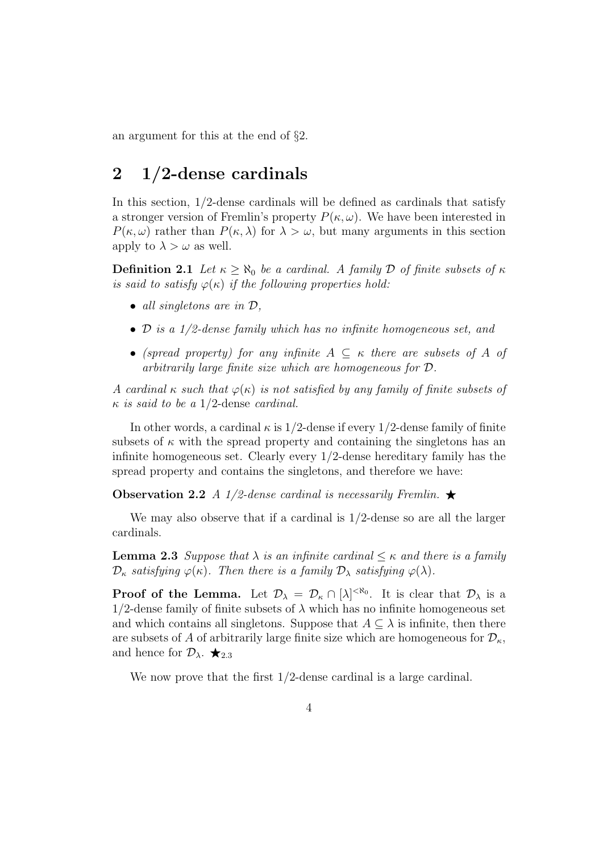an argument for this at the end of §2.

# 2 1/2-dense cardinals

In this section, 1/2-dense cardinals will be defined as cardinals that satisfy a stronger version of Fremlin's property  $P(\kappa, \omega)$ . We have been interested in  $P(\kappa, \omega)$  rather than  $P(\kappa, \lambda)$  for  $\lambda > \omega$ , but many arguments in this section apply to  $\lambda > \omega$  as well.

**Definition 2.1** Let  $\kappa \ge \aleph_0$  be a cardinal. A family D of finite subsets of  $\kappa$ is said to satisfy  $\varphi(\kappa)$  if the following properties hold:

- all singletons are in  $\mathcal{D}$ ,
- $\mathcal D$  is a 1/2-dense family which has no infinite homogeneous set, and
- (spread property) for any infinite  $A \subseteq \kappa$  there are subsets of A of arbitrarily large finite size which are homogeneous for D.

A cardinal  $\kappa$  such that  $\varphi(\kappa)$  is not satisfied by any family of finite subsets of  $\kappa$  is said to be a 1/2-dense cardinal.

In other words, a cardinal  $\kappa$  is 1/2-dense if every 1/2-dense family of finite subsets of  $\kappa$  with the spread property and containing the singletons has an infinite homogeneous set. Clearly every 1/2-dense hereditary family has the spread property and contains the singletons, and therefore we have:

**Observation 2.2** A 1/2-dense cardinal is necessarily Fremlin.  $\star$ 

We may also observe that if a cardinal is  $1/2$ -dense so are all the larger cardinals.

**Lemma 2.3** Suppose that  $\lambda$  is an infinite cardinal  $\leq \kappa$  and there is a family  $\mathcal{D}_{\kappa}$  satisfying  $\varphi(\kappa)$ . Then there is a family  $\mathcal{D}_{\lambda}$  satisfying  $\varphi(\lambda)$ .

**Proof of the Lemma.** Let  $\mathcal{D}_{\lambda} = \mathcal{D}_{\kappa} \cap [\lambda]^{\langle \aleph_0 \rangle}$ . It is clear that  $\mathcal{D}_{\lambda}$  is a 1/2-dense family of finite subsets of  $\lambda$  which has no infinite homogeneous set and which contains all singletons. Suppose that  $A \subseteq \lambda$  is infinite, then there are subsets of A of arbitrarily large finite size which are homogeneous for  $\mathcal{D}_{\kappa}$ , and hence for  $\mathcal{D}_{\lambda}$ .  $\bigstar_{2.3}$ 

We now prove that the first  $1/2$ -dense cardinal is a large cardinal.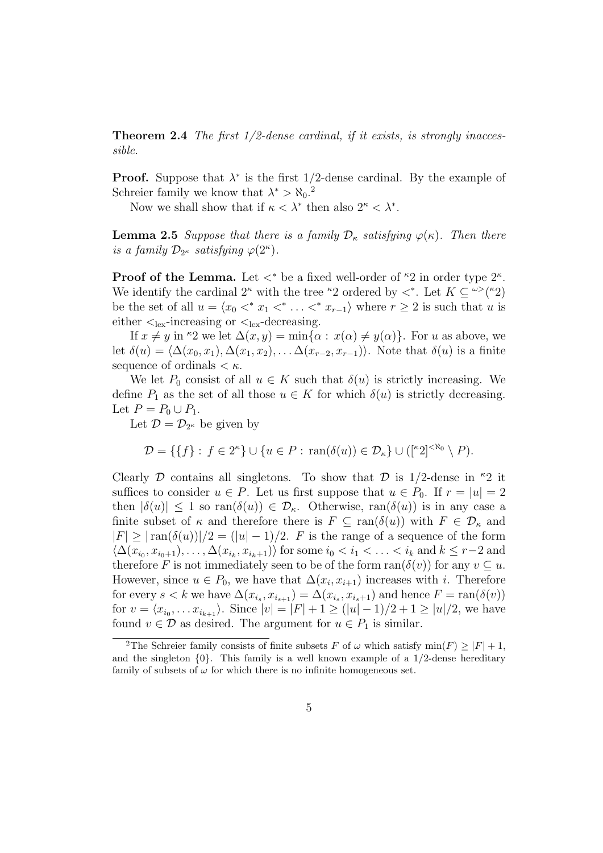**Theorem 2.4** The first  $1/2$ -dense cardinal, if it exists, is strongly inaccessible.

**Proof.** Suppose that  $\lambda^*$  is the first 1/2-dense cardinal. By the example of Schreier family we know that  $\lambda^* > \aleph_0$ .<sup>2</sup>

Now we shall show that if  $\kappa < \lambda^*$  then also  $2^{\kappa} < \lambda^*$ .

**Lemma 2.5** Suppose that there is a family  $\mathcal{D}_{\kappa}$  satisfying  $\varphi(\kappa)$ . Then there is a family  $\mathcal{D}_{2^{\kappa}}$  satisfying  $\varphi(2^{\kappa})$ .

**Proof of the Lemma.** Let  $\lt^*$  be a fixed well-order of  $k^2$  in order type  $2^k$ . We identify the cardinal  $2^{\kappa}$  with the tree <sup> $\kappa$ </sup>2 ordered by <<sup>\*</sup>. Let  $K \subseteq \mathbb{R}^{\kappa}$  ( $\kappa$ 2) be the set of all  $u = \langle x_0 \langle x_1, x_2, \dots, x_{r-1} \rangle$  where  $r \geq 2$  is such that u is either  $\lt_{lex}$ -increasing or  $\lt_{lex}$ -decreasing.

If  $x \neq y$  in <sup>k</sup>2 we let  $\Delta(x, y) = \min\{\alpha : x(\alpha) \neq y(\alpha)\}\)$ . For u as above, we let  $\delta(u) = \langle \Delta(x_0, x_1), \Delta(x_1, x_2), \dots \Delta(x_{r-2}, x_{r-1})\rangle$ . Note that  $\delta(u)$  is a finite sequence of ordinals  $\lt \kappa$ .

We let  $P_0$  consist of all  $u \in K$  such that  $\delta(u)$  is strictly increasing. We define  $P_1$  as the set of all those  $u \in K$  for which  $\delta(u)$  is strictly decreasing. Let  $P = P_0 \cup P_1$ .

Let  $\mathcal{D} = \mathcal{D}_{2^{\kappa}}$  be given by

$$
\mathcal{D} = \{ \{f\} : f \in 2^{\kappa} \} \cup \{ u \in P : \operatorname{ran}(\delta(u)) \in \mathcal{D}_{\kappa} \} \cup ([{\kappa}2]^{<\aleph_0} \setminus P).
$$

Clearly D contains all singletons. To show that D is  $1/2$ -dense in <sup> $k$ </sup>2 it suffices to consider  $u \in P$ . Let us first suppose that  $u \in P_0$ . If  $r = |u| = 2$ then  $|\delta(u)| \leq 1$  so  $\text{ran}(\delta(u)) \in \mathcal{D}_{\kappa}$ . Otherwise,  $\text{ran}(\delta(u))$  is in any case a finite subset of  $\kappa$  and therefore there is  $F \subseteq \text{ran}(\delta(u))$  with  $F \in \mathcal{D}_{\kappa}$  and  $|F| \geq |\text{ran}(\delta(u))|/2 = (|u|-1)/2$ . F is the range of a sequence of the form  $\langle \Delta(x_{i_0}, x_{i_0+1}), \ldots, \Delta(x_{i_k}, x_{i_k+1}) \rangle$  for some  $i_0 < i_1 < \ldots < i_k$  and  $k \leq r-2$  and therefore F is not immediately seen to be of the form  $ran(\delta(v))$  for any  $v \subseteq u$ . However, since  $u \in P_0$ , we have that  $\Delta(x_i, x_{i+1})$  increases with i. Therefore for every  $s < k$  we have  $\Delta(x_{i_s}, x_{i_{s+1}}) = \Delta(x_{i_s}, x_{i_s+1})$  and hence  $F = \text{ran}(\delta(v))$ for  $v = \langle x_{i_0}, \dots x_{i_{k+1}} \rangle$ . Since  $|v| = |F| + 1 \ge (|u| - 1)/2 + 1 \ge |u|/2$ , we have found  $v \in \mathcal{D}$  as desired. The argument for  $u \in P_1$  is similar.

<sup>&</sup>lt;sup>2</sup>The Schreier family consists of finite subsets F of  $\omega$  which satisfy min(F)  $\geq |F|+1$ , and the singleton  $\{0\}$ . This family is a well known example of a 1/2-dense hereditary family of subsets of  $\omega$  for which there is no infinite homogeneous set.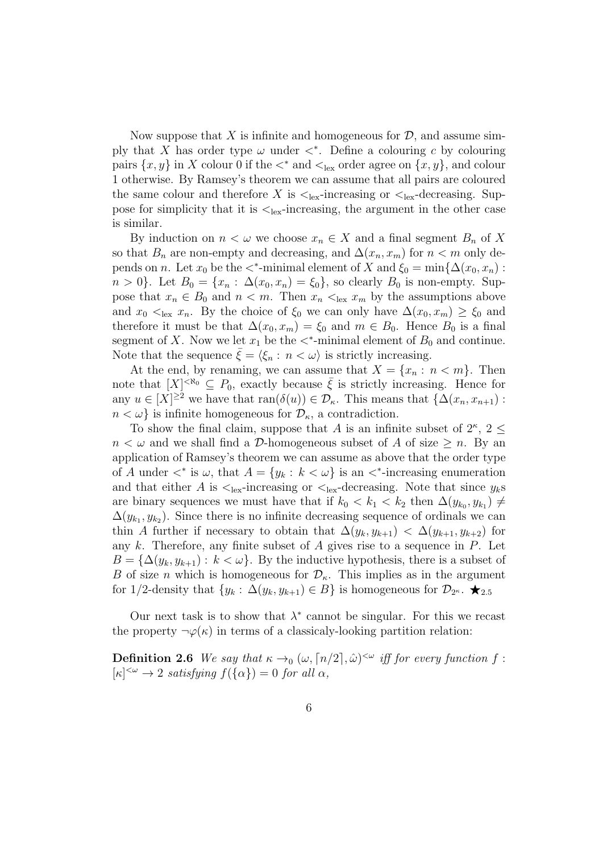Now suppose that X is infinite and homogeneous for  $\mathcal{D}$ , and assume simply that X has order type  $\omega$  under  $\lt^*$ . Define a colouring c by colouring pairs  $\{x, y\}$  in X colour 0 if the  $\lt^*$  and  $\lt_{\text{lex}}$  order agree on  $\{x, y\}$ , and colour 1 otherwise. By Ramsey's theorem we can assume that all pairs are coloured the same colour and therefore X is  $\leq_{\text{lex}}$ -increasing or  $\leq_{\text{lex}}$ -decreasing. Suppose for simplicity that it is  $\leq_{lex}$ -increasing, the argument in the other case is similar.

By induction on  $n < \omega$  we choose  $x_n \in X$  and a final segment  $B_n$  of X so that  $B_n$  are non-empty and decreasing, and  $\Delta(x_n, x_m)$  for  $n < m$  only depends on *n*. Let  $x_0$  be the  $\lt^*$ -minimal element of X and  $\xi_0 = \min{\Delta(x_0, x_n)}$ :  $n > 0$ . Let  $B_0 = \{x_n : \Delta(x_0, x_n) = \xi_0\}$ , so clearly  $B_0$  is non-empty. Suppose that  $x_n \in B_0$  and  $n < m$ . Then  $x_n <_{\text{lex}} x_m$  by the assumptions above and  $x_0 <_{\text{lex}} x_n$ . By the choice of  $\xi_0$  we can only have  $\Delta(x_0, x_m) \geq \xi_0$  and therefore it must be that  $\Delta(x_0, x_m) = \xi_0$  and  $m \in B_0$ . Hence  $B_0$  is a final segment of X. Now we let  $x_1$  be the  $\lt^*$ -minimal element of  $B_0$  and continue. Note that the sequence  $\xi = \langle \xi_n : n < \omega \rangle$  is strictly increasing.

At the end, by renaming, we can assume that  $X = \{x_n : n < m\}$ . Then note that  $[X]^{<\aleph_0} \subseteq P_0$ , exactly because  $\bar{\xi}$  is strictly increasing. Hence for any  $u \in [X]^{\geq 2}$  we have that  $ran(\delta(u)) \in \mathcal{D}_{\kappa}$ . This means that  $\{\Delta(x_n, x_{n+1})$ :  $n < \omega$  is infinite homogeneous for  $\mathcal{D}_{\kappa}$ , a contradiction.

To show the final claim, suppose that A is an infinite subset of  $2^{\kappa}$ ,  $2 \leq$  $n < \omega$  and we shall find a D-homogeneous subset of A of size  $\geq n$ . By an application of Ramsey's theorem we can assume as above that the order type of A under  $\langle \cdot \rangle^*$  is  $\omega$ , that  $A = \{y_k : k \langle \omega \rangle\}$  is an  $\langle \cdot \rangle^*$ -increasing enumeration and that either A is  $\lt_{\text{lex}}$ -increasing or  $\lt_{\text{lex}}$ -decreasing. Note that since  $y_k$ s are binary sequences we must have that if  $k_0 < k_1 < k_2$  then  $\Delta(y_{k_0}, y_{k_1}) \neq$  $\Delta(y_{k_1}, y_{k_2})$ . Since there is no infinite decreasing sequence of ordinals we can thin A further if necessary to obtain that  $\Delta(y_k, y_{k+1}) < \Delta(y_{k+1}, y_{k+2})$  for any  $k$ . Therefore, any finite subset of  $A$  gives rise to a sequence in  $P$ . Let  $B = \{\Delta(y_k, y_{k+1}) : k < \omega\}$ . By the inductive hypothesis, there is a subset of B of size n which is homogeneous for  $\mathcal{D}_{\kappa}$ . This implies as in the argument for 1/2-density that  $\{y_k : \Delta(y_k, y_{k+1}) \in B\}$  is homogeneous for  $\mathcal{D}_{2^{\kappa}}$ .  $\bigstar_{2.5}$ 

Our next task is to show that  $\lambda^*$  cannot be singular. For this we recast the property  $\neg \varphi(\kappa)$  in terms of a classicaly-looking partition relation:

**Definition 2.6** We say that  $\kappa \rightarrow 0$   $(\omega, \lceil n/2 \rceil, \hat{\omega})^{\leq \omega}$  iff for every function f:  $[\kappa]^{<\omega} \to 2$  satisfying  $f(\{\alpha\}) = 0$  for all  $\alpha$ ,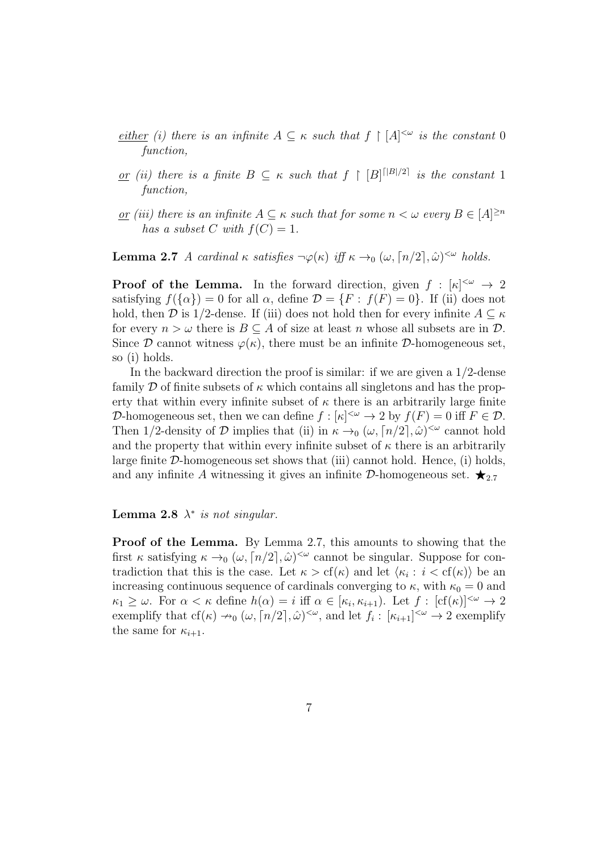- either (i) there is an infinite  $A \subseteq \kappa$  such that  $f \restriction [A]^{<\omega}$  is the constant 0 function,
- <u>or</u> (ii) there is a finite  $B \subseteq \kappa$  such that  $f \restriction [B]^{[|B|/2]}$  is the constant 1 function,
- <u>or</u> (iii) there is an infinite  $A \subseteq \kappa$  such that for some  $n < \omega$  every  $B \in [A]^{>n}$ has a subset C with  $f(C) = 1$ .

**Lemma 2.7** A cardinal  $\kappa$  satisfies  $\neg \varphi(\kappa)$  iff  $\kappa \rightarrow_0 (\omega, \lceil n/2 \rceil, \hat{\omega})^{\leq \omega}$  holds.

**Proof of the Lemma.** In the forward direction, given  $f : [\kappa]^{<\omega} \to 2$ satisfying  $f(\{\alpha\}) = 0$  for all  $\alpha$ , define  $\mathcal{D} = \{F : f(F) = 0\}$ . If (ii) does not hold, then D is 1/2-dense. If (iii) does not hold then for every infinite  $A \subseteq \kappa$ for every  $n > \omega$  there is  $B \subseteq A$  of size at least n whose all subsets are in  $D$ . Since  $\mathcal D$  cannot witness  $\varphi(\kappa)$ , there must be an infinite  $\mathcal D$ -homogeneous set, so (i) holds.

In the backward direction the proof is similar: if we are given a  $1/2$ -dense family D of finite subsets of  $\kappa$  which contains all singletons and has the property that within every infinite subset of  $\kappa$  there is an arbitrarily large finite D-homogeneous set, then we can define  $f : [\kappa]^{<\omega} \to 2$  by  $f(F) = 0$  iff  $F \in \mathcal{D}$ . Then 1/2-density of D implies that (ii) in  $\kappa \to 0$  ( $\omega$ ,  $\lceil n/2 \rceil$ ,  $\hat{\omega}$ )<sup> $\lt \omega$ </sup> cannot hold and the property that within every infinite subset of  $\kappa$  there is an arbitrarily large finite  $D$ -homogeneous set shows that (iii) cannot hold. Hence, (i) holds, and any infinite A witnessing it gives an infinite D-homogeneous set.  $\star_{2.7}$ 

**Lemma 2.8**  $\lambda^*$  is not singular.

Proof of the Lemma. By Lemma 2.7, this amounts to showing that the first  $\kappa$  satisfying  $\kappa \to 0$   $(\omega, \lceil n/2 \rceil, \hat{\omega})^{\leq \omega}$  cannot be singular. Suppose for contradiction that this is the case. Let  $\kappa > cf(\kappa)$  and let  $\langle \kappa_i : i < cf(\kappa) \rangle$  be an increasing continuous sequence of cardinals converging to  $\kappa$ , with  $\kappa_0 = 0$  and  $\kappa_1 \geq \omega$ . For  $\alpha < \kappa$  define  $h(\alpha) = i$  iff  $\alpha \in [\kappa_i, \kappa_{i+1})$ . Let  $f : [cf(\kappa)]^{\leq \omega} \to 2$ exemplify that  $cf(\kappa) \rightarrow 0 \ (\omega, \lceil n/2 \rceil, \hat{\omega})^{\langle \omega \rangle}$ , and let  $f_i : [\kappa_{i+1}]^{\langle \omega \rangle} \rightarrow 2$  exemplify the same for  $\kappa_{i+1}$ .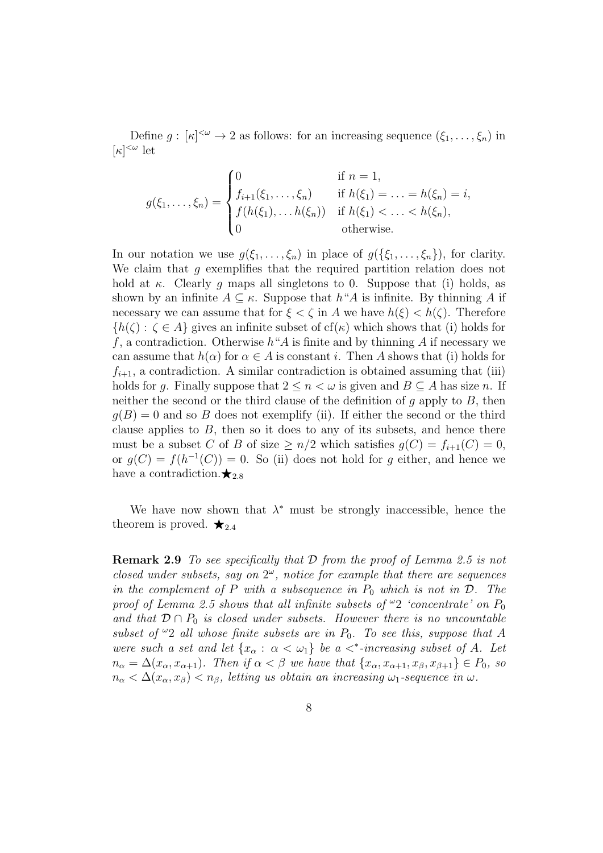Define  $g: [\kappa]^{<\omega} \to 2$  as follows: for an increasing sequence  $(\xi_1, \ldots, \xi_n)$  in  $[\kappa]^{<\omega}$  let

$$
g(\xi_1, ..., \xi_n) = \begin{cases} 0 & \text{if } n = 1, \\ f_{i+1}(\xi_1, ..., \xi_n) & \text{if } h(\xi_1) = ... = h(\xi_n) = i, \\ f(h(\xi_1), ..., h(\xi_n)) & \text{if } h(\xi_1) < ... < h(\xi_n), \\ 0 & \text{otherwise.} \end{cases}
$$

In our notation we use  $g(\xi_1,\ldots,\xi_n)$  in place of  $g(\{\xi_1,\ldots,\xi_n\})$ , for clarity. We claim that  $g$  exemplifies that the required partition relation does not hold at  $\kappa$ . Clearly q maps all singletons to 0. Suppose that (i) holds, as shown by an infinite  $A \subseteq \kappa$ . Suppose that  $h^{\kappa}A$  is infinite. By thinning A if necessary we can assume that for  $\xi < \zeta$  in A we have  $h(\xi) < h(\zeta)$ . Therefore  ${h(\zeta): \zeta \in A}$  gives an infinite subset of  $cf(\kappa)$  which shows that (i) holds for f, a contradiction. Otherwise  $h^{\alpha}A$  is finite and by thinning A if necessary we can assume that  $h(\alpha)$  for  $\alpha \in A$  is constant i. Then A shows that (i) holds for  $f_{i+1}$ , a contradiction. A similar contradiction is obtained assuming that (iii) holds for g. Finally suppose that  $2 \leq n \leq \omega$  is given and  $B \subseteq A$  has size n. If neither the second or the third clause of the definition of  $g$  apply to  $B$ , then  $g(B) = 0$  and so B does not exemplify (ii). If either the second or the third clause applies to  $B$ , then so it does to any of its subsets, and hence there must be a subset C of B of size  $\geq n/2$  which satisfies  $g(C) = f_{i+1}(C) = 0$ , or  $g(C) = f(h^{-1}(C)) = 0$ . So (ii) does not hold for g either, and hence we have a contradiction.  $\star_{2.8}$ 

We have now shown that  $\lambda^*$  must be strongly inaccessible, hence the theorem is proved.  $\bigstar_{2.4}$ 

**Remark 2.9** To see specifically that D from the proof of Lemma 2.5 is not closed under subsets, say on  $2^{\omega}$ , notice for example that there are sequences in the complement of P with a subsequence in  $P_0$  which is not in  $D$ . The proof of Lemma 2.5 shows that all infinite subsets of  $\omega_2$  'concentrate' on  $P_0$ and that  $\mathcal{D} \cap P_0$  is closed under subsets. However there is no uncountable subset of  $\omega_2$  all whose finite subsets are in  $P_0$ . To see this, suppose that A were such a set and let  $\{x_\alpha : \alpha < \omega_1\}$  be a  $\lt^*$ -increasing subset of A. Let  $n_{\alpha} = \Delta(x_{\alpha}, x_{\alpha+1})$ . Then if  $\alpha < \beta$  we have that  $\{x_{\alpha}, x_{\alpha+1}, x_{\beta}, x_{\beta+1}\} \in P_0$ , so  $n_{\alpha} < \Delta(x_{\alpha}, x_{\beta}) < n_{\beta}$ , letting us obtain an increasing  $\omega_1$ -sequence in  $\omega$ .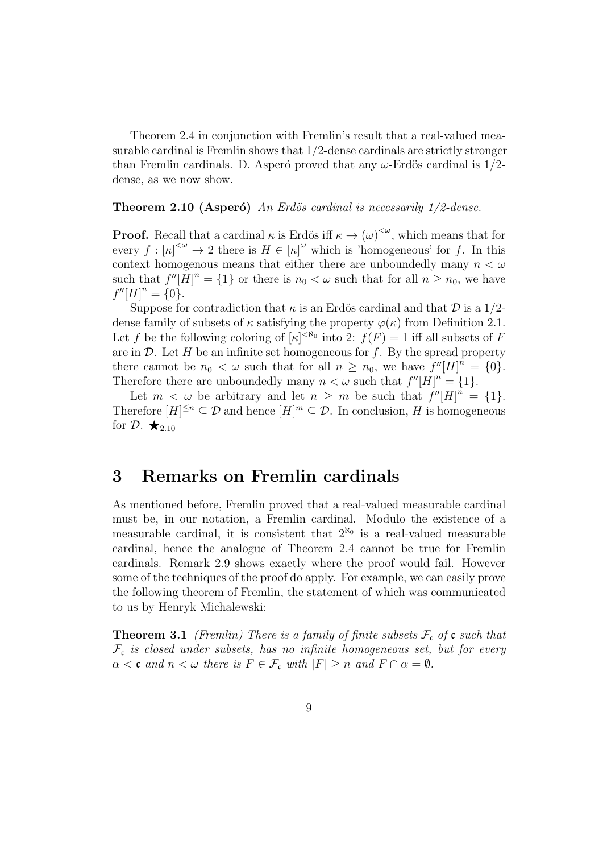Theorem 2.4 in conjunction with Fremlin's result that a real-valued measurable cardinal is Fremlin shows that  $1/2$ -dense cardinals are strictly stronger than Fremlin cardinals. D. Asperó proved that any  $\omega$ -Erdös cardinal is 1/2dense, as we now show.

#### **Theorem 2.10 (Asperó)** An Erdös cardinal is necessarily  $1/2$ -dense.

**Proof.** Recall that a cardinal  $\kappa$  is Erdös iff  $\kappa \to (\omega)^{<\omega}$ , which means that for every  $f : [\kappa]^{<\omega} \to 2$  there is  $H \in [\kappa]^\omega$  which is 'homogeneous' for f. In this context homogenous means that either there are unboundedly many  $n < \omega$ such that  $f''[H]^n = \{1\}$  or there is  $n_0 < \omega$  such that for all  $n \geq n_0$ , we have  $f''[H]^n = \{0\}.$ 

Suppose for contradiction that  $\kappa$  is an Erdös cardinal and that  $\mathcal D$  is a 1/2dense family of subsets of  $\kappa$  satisfying the property  $\varphi(\kappa)$  from Definition 2.1. Let f be the following coloring of  $[\kappa]^{<\aleph_0}$  into 2:  $f(F) = 1$  iff all subsets of F are in  $\mathcal D$ . Let H be an infinite set homogeneous for f. By the spread property there cannot be  $n_0 < \omega$  such that for all  $n \geq n_0$ , we have  $f''[H]^n = \{0\}.$ Therefore there are unboundedly many  $n < \omega$  such that  $f''[H]^n = \{1\}.$ 

Let  $m < \omega$  be arbitrary and let  $n \geq m$  be such that  $f''[H]^n = \{1\}.$ Therefore  $[H]^{\leq n} \subseteq \mathcal{D}$  and hence  $[H]^m \subseteq \mathcal{D}$ . In conclusion, H is homogeneous for  $\mathcal{D}$ .  $\bigstar_{2.10}$ 

## 3 Remarks on Fremlin cardinals

As mentioned before, Fremlin proved that a real-valued measurable cardinal must be, in our notation, a Fremlin cardinal. Modulo the existence of a measurable cardinal, it is consistent that  $2^{\aleph_0}$  is a real-valued measurable cardinal, hence the analogue of Theorem 2.4 cannot be true for Fremlin cardinals. Remark 2.9 shows exactly where the proof would fail. However some of the techniques of the proof do apply. For example, we can easily prove the following theorem of Fremlin, the statement of which was communicated to us by Henryk Michalewski:

**Theorem 3.1** (Fremlin) There is a family of finite subsets  $\mathcal{F}_{c}$  of c such that  $\mathcal{F}_{c}$  is closed under subsets, has no infinite homogeneous set, but for every  $\alpha < \mathfrak{c}$  and  $n < \omega$  there is  $F \in \mathcal{F}_{\mathfrak{c}}$  with  $|F| \geq n$  and  $F \cap \alpha = \emptyset$ .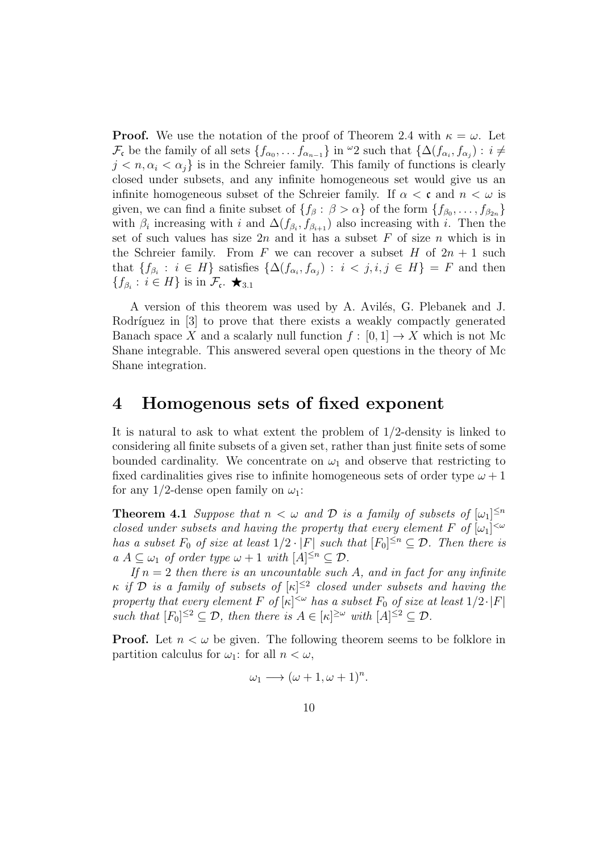**Proof.** We use the notation of the proof of Theorem 2.4 with  $\kappa = \omega$ . Let  $\mathcal{F}_{\mathfrak{c}}$  be the family of all sets  $\{f_{\alpha_0}, \ldots, f_{\alpha_{n-1}}\}$  in  $\omega_2$  such that  $\{\Delta(f_{\alpha_i}, f_{\alpha_j}) : i \neq j\}$  $j < n, \alpha_i < \alpha_j$  is in the Schreier family. This family of functions is clearly closed under subsets, and any infinite homogeneous set would give us an infinite homogeneous subset of the Schreier family. If  $\alpha < \mathfrak{c}$  and  $n < \omega$  is given, we can find a finite subset of  $\{f_\beta: \beta > \alpha\}$  of the form  $\{f_{\beta_0}, \ldots, f_{\beta_{2n}}\}$ with  $\beta_i$  increasing with i and  $\Delta(f_{\beta_i}, f_{\beta_{i+1}})$  also increasing with i. Then the set of such values has size  $2n$  and it has a subset F of size n which is in the Schreier family. From F we can recover a subset H of  $2n + 1$  such that  $\{f_{\beta_i} : i \in H\}$  satisfies  $\{\Delta(f_{\alpha_i}, f_{\alpha_j}) : i < j, i, j \in H\} = F$  and then  ${f}_{\beta_i}: i \in H$ } is in  $\mathcal{F}_{c}$ .  $\bigstar_{3.1}$ 

A version of this theorem was used by A. Avilés, G. Plebanek and J. Rodríguez in [3] to prove that there exists a weakly compactly generated Banach space X and a scalarly null function  $f : [0, 1] \to X$  which is not Mc Shane integrable. This answered several open questions in the theory of Mc Shane integration.

### 4 Homogenous sets of fixed exponent

It is natural to ask to what extent the problem of 1/2-density is linked to considering all finite subsets of a given set, rather than just finite sets of some bounded cardinality. We concentrate on  $\omega_1$  and observe that restricting to fixed cardinalities gives rise to infinite homogeneous sets of order type  $\omega + 1$ for any 1/2-dense open family on  $\omega_1$ :

**Theorem 4.1** Suppose that  $n < \omega$  and  $\mathcal{D}$  is a family of subsets of  $[\omega_1]^{\leq n}$ closed under subsets and having the property that every element F of  $[\omega_1]^{<\omega}$ has a subset  $F_0$  of size at least  $1/2 \cdot |F|$  such that  $[F_0]^{\leq n} \subseteq \mathcal{D}$ . Then there is  $a A \subseteq \omega_1$  of order type  $\omega + 1$  with  $[A]^{\leq n} \subseteq \mathcal{D}$ .

If  $n = 2$  then there is an uncountable such A, and in fact for any infinite  $\kappa$  if  $\mathcal D$  is a family of subsets of  $|\kappa| \leq 2$  closed under subsets and having the property that every element F of  $[\kappa]^{<\omega}$  has a subset  $F_0$  of size at least  $1/2\cdot|F|$ such that  $[F_0]^{\leq 2} \subseteq \mathcal{D}$ , then there is  $A \in [\kappa]^{\geq \omega}$  with  $[A]^{\leq 2} \subseteq \mathcal{D}$ .

**Proof.** Let  $n < \omega$  be given. The following theorem seems to be folklore in partition calculus for  $\omega_1$ : for all  $n < \omega$ ,

$$
\omega_1 \longrightarrow (\omega + 1, \omega + 1)^n.
$$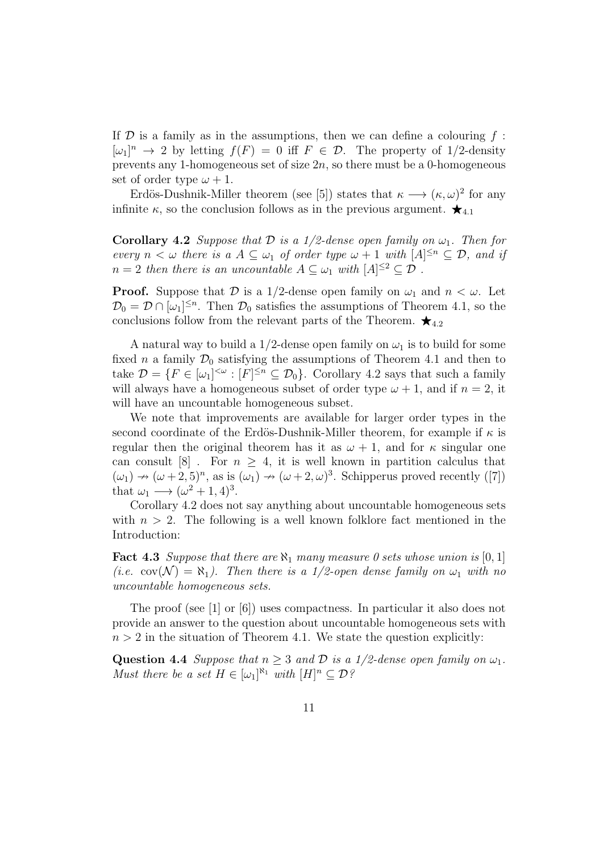If  $\mathcal D$  is a family as in the assumptions, then we can define a colouring f:  $[\omega_1]^n \to 2$  by letting  $f(F) = 0$  iff  $F \in \mathcal{D}$ . The property of 1/2-density prevents any 1-homogeneous set of size  $2n$ , so there must be a 0-homogeneous set of order type  $\omega + 1$ .

Erdös-Dushnik-Miller theorem (see [5]) states that  $\kappa \longrightarrow (\kappa, \omega)^2$  for any infinite  $\kappa$ , so the conclusion follows as in the previous argument.  $\star_{4.1}$ 

Corollary 4.2 Suppose that  $\mathcal D$  is a 1/2-dense open family on  $\omega_1$ . Then for every  $n < \omega$  there is a  $A \subseteq \omega_1$  of order type  $\omega + 1$  with  $[A]^{\leq n} \subseteq \mathcal{D}$ , and if  $n=2$  then there is an uncountable  $A \subseteq \omega_1$  with  $[A]^{\leq 2} \subseteq \mathcal{D}$ .

**Proof.** Suppose that  $\mathcal{D}$  is a 1/2-dense open family on  $\omega_1$  and  $n < \omega$ . Let  $\mathcal{D}_0 = \mathcal{D} \cap [\omega_1]^{\leq n}$ . Then  $\mathcal{D}_0$  satisfies the assumptions of Theorem 4.1, so the conclusions follow from the relevant parts of the Theorem.  $\star_{4.2}$ 

A natural way to build a 1/2-dense open family on  $\omega_1$  is to build for some fixed n a family  $\mathcal{D}_0$  satisfying the assumptions of Theorem 4.1 and then to take  $\mathcal{D} = \{F \in [\omega_1]^{<\omega} : [F]^{\leq n} \subseteq \mathcal{D}_0\}$ . Corollary 4.2 says that such a family will always have a homogeneous subset of order type  $\omega + 1$ , and if  $n = 2$ , it will have an uncountable homogeneous subset.

We note that improvements are available for larger order types in the second coordinate of the Erdös-Dushnik-Miller theorem, for example if  $\kappa$  is regular then the original theorem has it as  $\omega + 1$ , and for  $\kappa$  singular one can consult [8]. For  $n > 4$ , it is well known in partition calculus that  $(\omega_1) \rightarrow (\omega + 2, 5)^n$ , as is  $(\omega_1) \rightarrow (\omega + 2, \omega)^3$ . Schipperus proved recently ([7]) that  $\omega_1 \longrightarrow (\omega^2 + 1, 4)^3$ .

Corollary 4.2 does not say anything about uncountable homogeneous sets with  $n > 2$ . The following is a well known folklore fact mentioned in the Introduction:

**Fact 4.3** Suppose that there are  $\aleph_1$  many measure 0 sets whose union is [0, 1] (i.e.  $cov(\mathcal{N}) = \aleph_1$ ). Then there is a 1/2-open dense family on  $\omega_1$  with no uncountable homogeneous sets.

The proof (see [1] or [6]) uses compactness. In particular it also does not provide an answer to the question about uncountable homogeneous sets with  $n > 2$  in the situation of Theorem 4.1. We state the question explicitly:

Question 4.4 Suppose that  $n \geq 3$  and  $\mathcal D$  is a 1/2-dense open family on  $\omega_1$ . Must there be a set  $H \in [\omega_1]^{\aleph_1}$  with  $[H]^n \subseteq \mathcal{D}^{\S}$